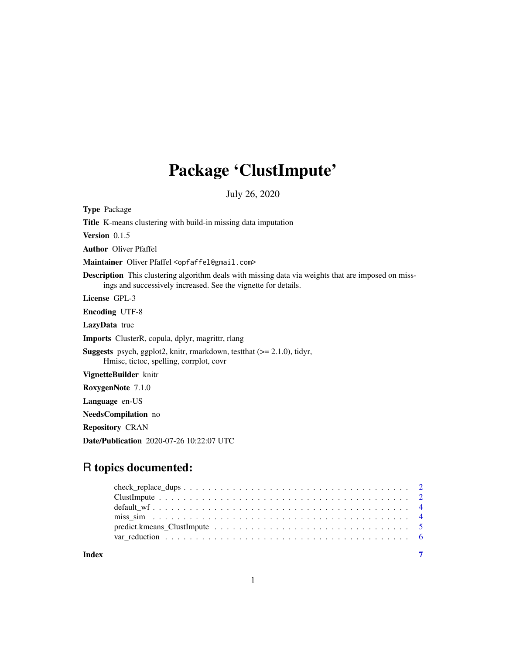## Package 'ClustImpute'

July 26, 2020

Type Package

Title K-means clustering with build-in missing data imputation

Version 0.1.5

Author Oliver Pfaffel

Maintainer Oliver Pfaffel <opfaffel@gmail.com>

Description This clustering algorithm deals with missing data via weights that are imposed on missings and successively increased. See the vignette for details.

License GPL-3

Encoding UTF-8

LazyData true

Imports ClusterR, copula, dplyr, magrittr, rlang

Suggests psych, ggplot2, knitr, rmarkdown, testthat (>= 2.1.0), tidyr, Hmisc, tictoc, spelling, corrplot, covr

VignetteBuilder knitr

RoxygenNote 7.1.0

Language en-US

NeedsCompilation no

Repository CRAN

Date/Publication 2020-07-26 10:22:07 UTC

### R topics documented:

**Index** [7](#page-6-0) **7**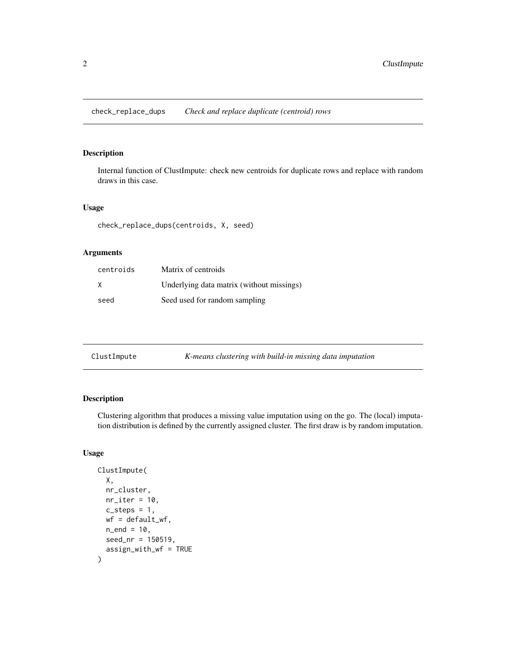<span id="page-1-0"></span>check\_replace\_dups *Check and replace duplicate (centroid) rows*

#### Description

Internal function of ClustImpute: check new centroids for duplicate rows and replace with random draws in this case.

#### Usage

check\_replace\_dups(centroids, X, seed)

#### Arguments

| centroids | Matrix of centroids                       |
|-----------|-------------------------------------------|
| X         | Underlying data matrix (without missings) |
| seed      | Seed used for random sampling             |

| ClustImpute | K-means clustering with build-in missing data imputation |  |
|-------------|----------------------------------------------------------|--|
|-------------|----------------------------------------------------------|--|

#### Description

Clustering algorithm that produces a missing value imputation using on the go. The (local) imputation distribution is defined by the currently assigned cluster. The first draw is by random imputation.

#### Usage

```
ClustImpute(
  X,
  nr_cluster,
  nr\_iter = 10,
  c_{\texttt{-steps}} = 1,
  wf = default_wf,n_{end} = 10,
  seed_nr = 150519,
  assign_with_wf = TRUE
\mathcal{E}
```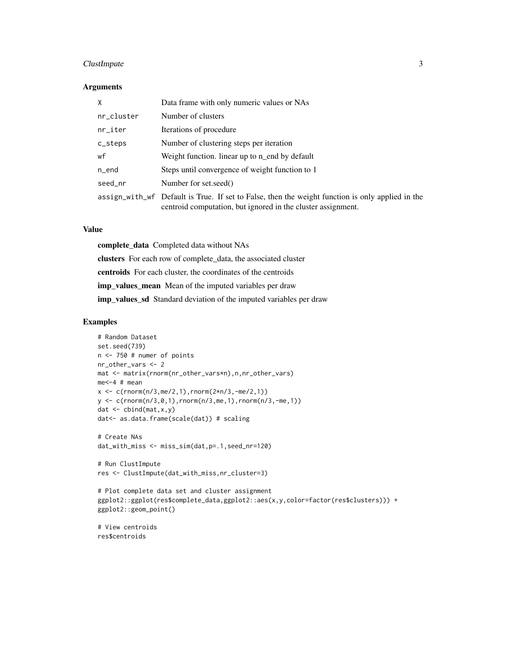#### ClustImpute 3

#### Arguments

| X                     | Data frame with only numeric values or NAs                                                                                                                       |
|-----------------------|------------------------------------------------------------------------------------------------------------------------------------------------------------------|
| nr_cluster            | Number of clusters                                                                                                                                               |
| $nr$ <sub>_iter</sub> | Iterations of procedure                                                                                                                                          |
| c_steps               | Number of clustering steps per iteration                                                                                                                         |
| wf                    | Weight function. linear up to n end by default                                                                                                                   |
| $n$ end               | Steps until convergence of weight function to 1                                                                                                                  |
| seed_nr               | Number for set.seed()                                                                                                                                            |
|                       | assign_with_wf Default is True. If set to False, then the weight function is only applied in the<br>centroid computation, but ignored in the cluster assignment. |

#### Value

complete\_data Completed data without NAs clusters For each row of complete\_data, the associated cluster centroids For each cluster, the coordinates of the centroids imp\_values\_mean Mean of the imputed variables per draw imp\_values\_sd Standard deviation of the imputed variables per draw

#### Examples

```
# Random Dataset
set.seed(739)
n <- 750 # numer of points
nr_other_vars <- 2
mat <- matrix(rnorm(nr_other_vars*n),n,nr_other_vars)
me<-4 # mean
x \leq c(\text{rnorm}(n/3, me/2, 1), \text{rnorm}(2*n/3, -me/2, 1))y \leq c(\text{rnorm}(n/3, 0, 1), \text{rnorm}(n/3, me, 1), \text{rnorm}(n/3, -me, 1))dat \leq cbind(mat, x, y)
dat<- as.data.frame(scale(dat)) # scaling
# Create NAs
dat_with_miss <- miss_sim(dat,p=.1,seed_nr=120)
```

```
# Run ClustImpute
res <- ClustImpute(dat_with_miss,nr_cluster=3)
```

```
# Plot complete data set and cluster assignment
ggplot2::ggplot(res$complete_data,ggplot2::aes(x,y,color=factor(res$clusters))) +
ggplot2::geom_point()
```

```
# View centroids
res$centroids
```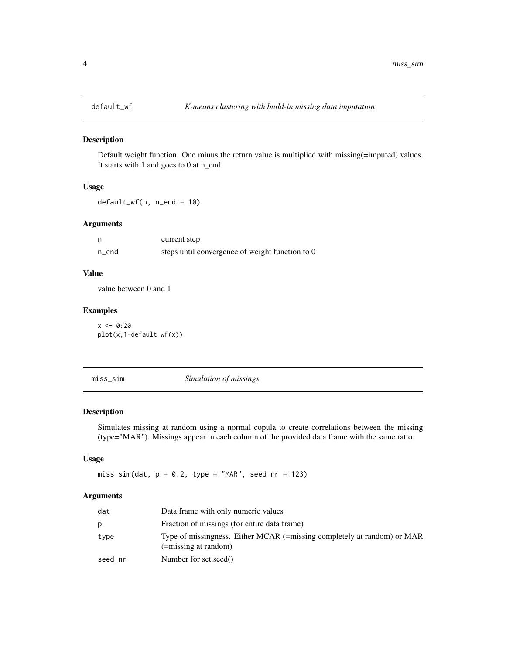<span id="page-3-0"></span>

#### Description

Default weight function. One minus the return value is multiplied with missing(=imputed) values. It starts with 1 and goes to 0 at n\_end.

#### Usage

default\_wf(n, n\_end = 10)

#### Arguments

| n     | current step                                    |
|-------|-------------------------------------------------|
| n_end | steps until convergence of weight function to 0 |

#### Value

value between 0 and 1

#### Examples

 $x < -0:20$ plot(x,1-default\_wf(x))

miss\_sim *Simulation of missings*

#### Description

Simulates missing at random using a normal copula to create correlations between the missing (type="MAR"). Missings appear in each column of the provided data frame with the same ratio.

#### Usage

 $miss\_sim(data, p = 0.2, type = "MAR", seed_nr = 123)$ 

#### Arguments

| dat     | Data frame with only numeric values                                                             |
|---------|-------------------------------------------------------------------------------------------------|
| p       | Fraction of missings (for entire data frame)                                                    |
| type    | Type of missingness. Either MCAR (=missing completely at random) or MAR<br>(=missing at random) |
| seed_nr | Number for set.seed()                                                                           |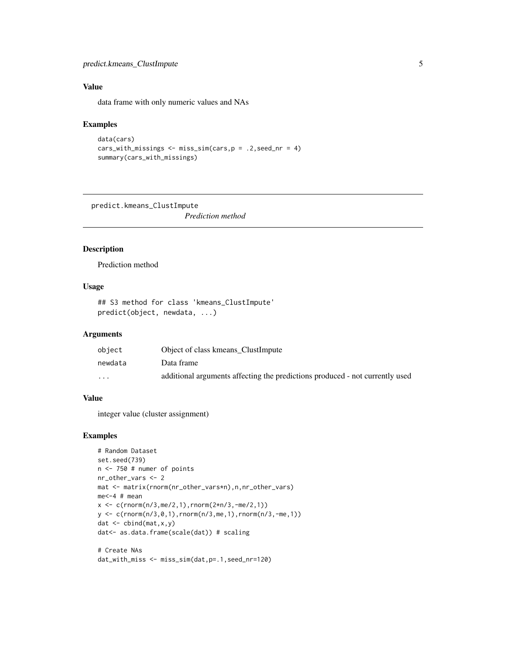#### <span id="page-4-0"></span>predict.kmeans\_ClustImpute 5

#### Value

data frame with only numeric values and NAs

#### Examples

```
data(cars)
cars_with_missings \leq miss_sim(cars, p = .2, seed_nr = 4)
summary(cars_with_missings)
```
predict.kmeans\_ClustImpute

*Prediction method*

#### Description

Prediction method

#### Usage

```
## S3 method for class 'kmeans_ClustImpute'
predict(object, newdata, ...)
```
#### Arguments

| object  | Object of class kmeans ClustImpute                                           |
|---------|------------------------------------------------------------------------------|
| newdata | Data frame                                                                   |
| $\cdot$ | additional arguments affecting the predictions produced - not currently used |

#### Value

integer value (cluster assignment)

#### Examples

```
# Random Dataset
set.seed(739)
n < -750 # numer of points
nr_other_vars <- 2
mat <- matrix(rnorm(nr_other_vars*n),n,nr_other_vars)
me<-4 # mean
x \leq c(\text{rnorm}(n/3, me/2, 1), \text{rnorm}(2*n/3, -me/2, 1))y \leq c(\text{rnorm}(n/3, 0, 1), \text{rnorm}(n/3, me, 1), \text{rnorm}(n/3, -me, 1))dat \leftarrow \text{cbind}(\text{mat}, x, y)dat<- as.data.frame(scale(dat)) # scaling
```

```
# Create NAs
dat_with_miss <- miss_sim(dat,p=.1,seed_nr=120)
```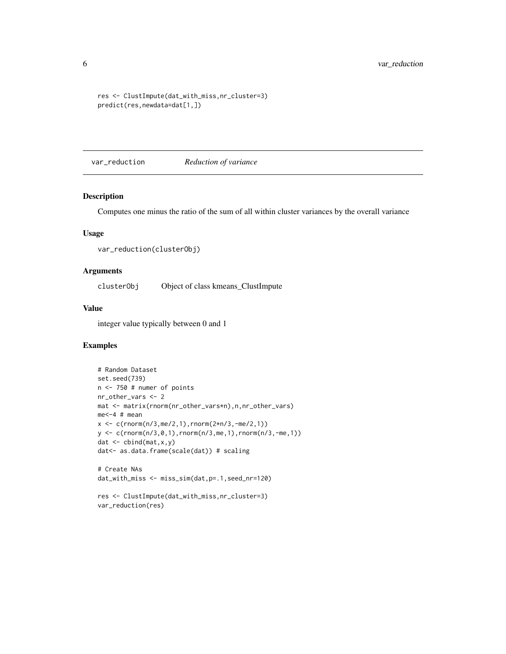```
res <- ClustImpute(dat_with_miss,nr_cluster=3)
predict(res,newdata=dat[1,])
```
var\_reduction *Reduction of variance*

#### Description

Computes one minus the ratio of the sum of all within cluster variances by the overall variance

#### Usage

```
var_reduction(clusterObj)
```
#### Arguments

clusterObj Object of class kmeans\_ClustImpute

#### Value

integer value typically between 0 and 1

#### Examples

```
# Random Dataset
set.seed(739)
n <- 750 # numer of points
nr_other_vars <- 2
mat <- matrix(rnorm(nr_other_vars*n),n,nr_other_vars)
me<-4 # mean
x <- c(rnorm(n/3,me/2,1),rnorm(2*n/3,-me/2,1))
y \leq c(\text{rnorm}(n/3, 0, 1), \text{rnorm}(n/3, me, 1), \text{rnorm}(n/3, -me, 1))dat \leftarrow \text{cbind}(\text{mat}, x, y)dat<- as.data.frame(scale(dat)) # scaling
```

```
# Create NAs
dat_with_miss <- miss_sim(dat,p=.1,seed_nr=120)
```

```
res <- ClustImpute(dat_with_miss,nr_cluster=3)
var_reduction(res)
```
<span id="page-5-0"></span>